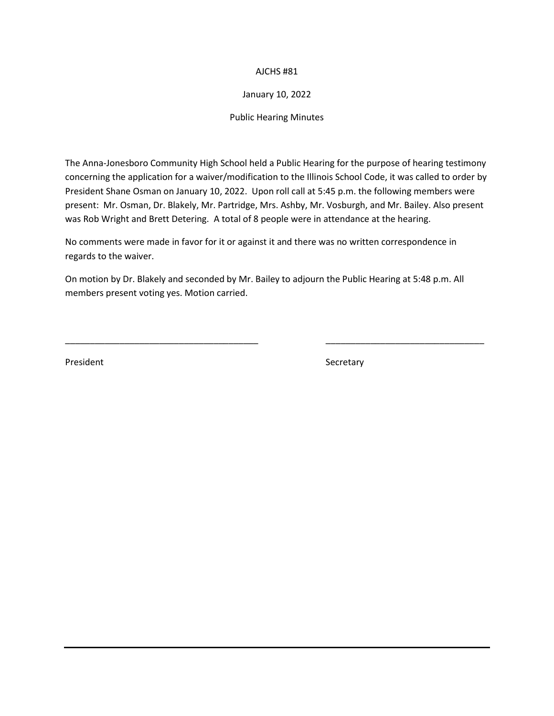# AJCHS #81

# January 10, 2022

Public Hearing Minutes

The Anna-Jonesboro Community High School held a Public Hearing for the purpose of hearing testimony concerning the application for a waiver/modification to the Illinois School Code, it was called to order by President Shane Osman on January 10, 2022. Upon roll call at 5:45 p.m. the following members were present: Mr. Osman, Dr. Blakely, Mr. Partridge, Mrs. Ashby, Mr. Vosburgh, and Mr. Bailey. Also present was Rob Wright and Brett Detering. A total of 8 people were in attendance at the hearing.

No comments were made in favor for it or against it and there was no written correspondence in regards to the waiver.

On motion by Dr. Blakely and seconded by Mr. Bailey to adjourn the Public Hearing at 5:48 p.m. All members present voting yes. Motion carried.

\_\_\_\_\_\_\_\_\_\_\_\_\_\_\_\_\_\_\_\_\_\_\_\_\_\_\_\_\_\_\_\_\_\_\_\_\_\_\_ \_\_\_\_\_\_\_\_\_\_\_\_\_\_\_\_\_\_\_\_\_\_\_\_\_\_\_\_\_\_\_\_

President Secretary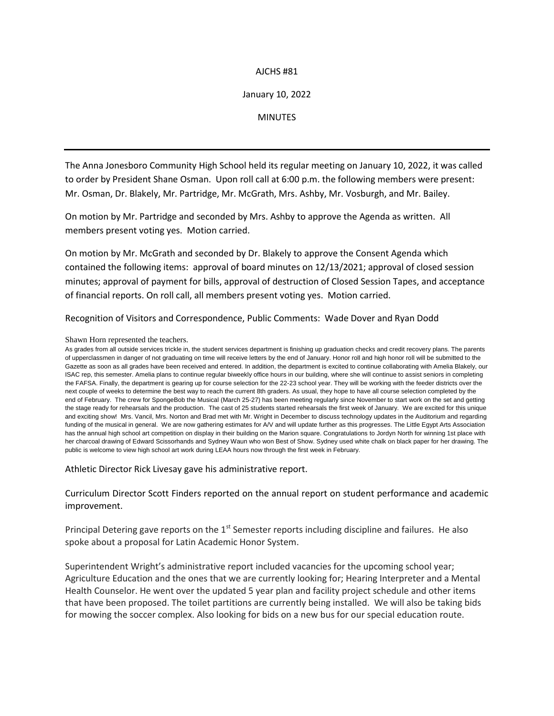# AJCHS #81

# January 10, 2022

### **MINUTES**

The Anna Jonesboro Community High School held its regular meeting on January 10, 2022, it was called to order by President Shane Osman. Upon roll call at 6:00 p.m. the following members were present: Mr. Osman, Dr. Blakely, Mr. Partridge, Mr. McGrath, Mrs. Ashby, Mr. Vosburgh, and Mr. Bailey.

On motion by Mr. Partridge and seconded by Mrs. Ashby to approve the Agenda as written. All members present voting yes. Motion carried.

On motion by Mr. McGrath and seconded by Dr. Blakely to approve the Consent Agenda which contained the following items: approval of board minutes on 12/13/2021; approval of closed session minutes; approval of payment for bills, approval of destruction of Closed Session Tapes, and acceptance of financial reports. On roll call, all members present voting yes. Motion carried.

Recognition of Visitors and Correspondence, Public Comments: Wade Dover and Ryan Dodd

#### Shawn Horn represented the teachers.

As grades from all outside services trickle in, the student services department is finishing up graduation checks and credit recovery plans. The parents of upperclassmen in danger of not graduating on time will receive letters by the end of January. Honor roll and high honor roll will be submitted to the Gazette as soon as all grades have been received and entered. In addition, the department is excited to continue collaborating with Amelia Blakely, our ISAC rep, this semester. Amelia plans to continue regular biweekly office hours in our building, where she will continue to assist seniors in completing the FAFSA. Finally, the department is gearing up for course selection for the 22-23 school year. They will be working with the feeder districts over the next couple of weeks to determine the best way to reach the current 8th graders. As usual, they hope to have all course selection completed by the end of February. The crew for SpongeBob the Musical (March 25-27) has been meeting regularly since November to start work on the set and getting the stage ready for rehearsals and the production. The cast of 25 students started rehearsals the first week of January. We are excited for this unique and exciting show! Mrs. Vancil, Mrs. Norton and Brad met with Mr. Wright in December to discuss technology updates in the Auditorium and regarding funding of the musical in general. We are now gathering estimates for AV and will update further as this progresses. The Little Egypt Arts Association has the annual high school art competition on display in their building on the Marion square. Congratulations to Jordyn North for winning 1st place with her charcoal drawing of Edward Scissorhands and Sydney Waun who won Best of Show. Sydney used white chalk on black paper for her drawing. The public is welcome to view high school art work during LEAA hours now through the first week in February.

Athletic Director Rick Livesay gave his administrative report.

# Curriculum Director Scott Finders reported on the annual report on student performance and academic improvement.

Principal Detering gave reports on the  $1<sup>st</sup>$  Semester reports including discipline and failures. He also spoke about a proposal for Latin Academic Honor System.

Superintendent Wright's administrative report included vacancies for the upcoming school year; Agriculture Education and the ones that we are currently looking for; Hearing Interpreter and a Mental Health Counselor. He went over the updated 5 year plan and facility project schedule and other items that have been proposed. The toilet partitions are currently being installed. We will also be taking bids for mowing the soccer complex. Also looking for bids on a new bus for our special education route.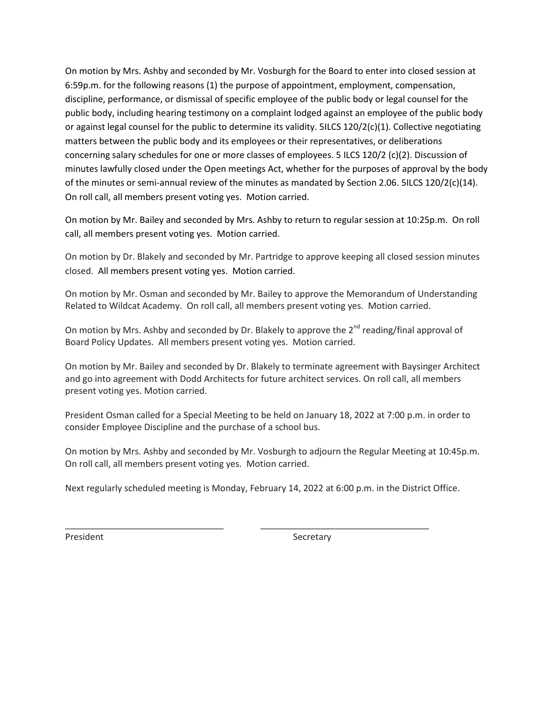On motion by Mrs. Ashby and seconded by Mr. Vosburgh for the Board to enter into closed session at 6:59p.m. for the following reasons (1) the purpose of appointment, employment, compensation, discipline, performance, or dismissal of specific employee of the public body or legal counsel for the public body, including hearing testimony on a complaint lodged against an employee of the public body or against legal counsel for the public to determine its validity. 5ILCS 120/2(c)(1). Collective negotiating matters between the public body and its employees or their representatives, or deliberations concerning salary schedules for one or more classes of employees. 5 ILCS 120/2 (c)(2). Discussion of minutes lawfully closed under the Open meetings Act, whether for the purposes of approval by the body of the minutes or semi-annual review of the minutes as mandated by Section 2.06. 5ILCS 120/2(c)(14). On roll call, all members present voting yes. Motion carried.

On motion by Mr. Bailey and seconded by Mrs. Ashby to return to regular session at 10:25p.m. On roll call, all members present voting yes. Motion carried.

On motion by Dr. Blakely and seconded by Mr. Partridge to approve keeping all closed session minutes closed. All members present voting yes. Motion carried.

On motion by Mr. Osman and seconded by Mr. Bailey to approve the Memorandum of Understanding Related to Wildcat Academy. On roll call, all members present voting yes. Motion carried.

On motion by Mrs. Ashby and seconded by Dr. Blakely to approve the 2<sup>nd</sup> reading/final approval of Board Policy Updates. All members present voting yes. Motion carried.

On motion by Mr. Bailey and seconded by Dr. Blakely to terminate agreement with Baysinger Architect and go into agreement with Dodd Architects for future architect services. On roll call, all members present voting yes. Motion carried.

President Osman called for a Special Meeting to be held on January 18, 2022 at 7:00 p.m. in order to consider Employee Discipline and the purchase of a school bus.

On motion by Mrs. Ashby and seconded by Mr. Vosburgh to adjourn the Regular Meeting at 10:45p.m. On roll call, all members present voting yes. Motion carried.

Next regularly scheduled meeting is Monday, February 14, 2022 at 6:00 p.m. in the District Office.

\_\_\_\_\_\_\_\_\_\_\_\_\_\_\_\_\_\_\_\_\_\_\_\_\_\_\_\_\_\_\_\_ \_\_\_\_\_\_\_\_\_\_\_\_\_\_\_\_\_\_\_\_\_\_\_\_\_\_\_\_\_\_\_\_\_\_

President Secretary